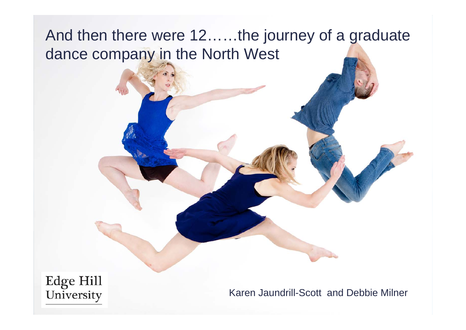And then there were 12……the journey of a graduate dance company in the North West

**Edge Hill** University

Karen Jaundrill-Scott and Debbie Milner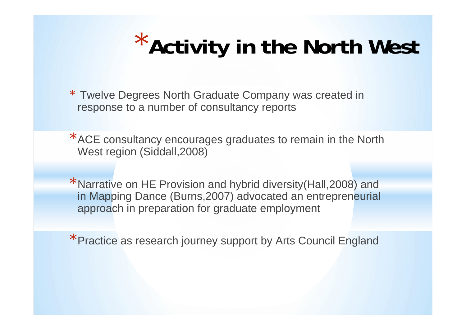# \***Activity in the North West**

\* Twelve Degrees North Graduate Company was created in response to a number of consultancy reports

\*ACE consultancy encourages graduates to remain in the North West region (Siddall,2008)

\*Narrative on HE Provision and hybrid diversity(Hall,2008) and in Mapping Dance (Burns,2007) advocated an entrepreneurial approach in preparation for graduate employment

\*Practice as research journey support by Arts Council England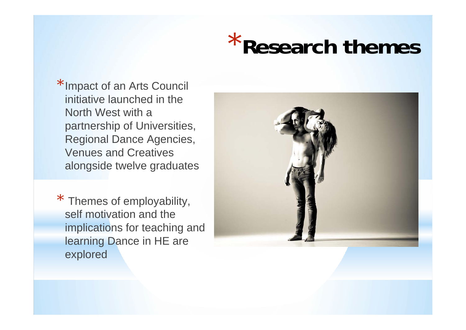## \***Research themes**

- \*Impact of an Arts Council initiative launched in the North West with a partnership of Universities, Regional Dance Agencies, Venues and Creativesalongside twelve graduates
- \* Themes of employability, self motivation and the implications for teaching and learning Dance in HE are explored

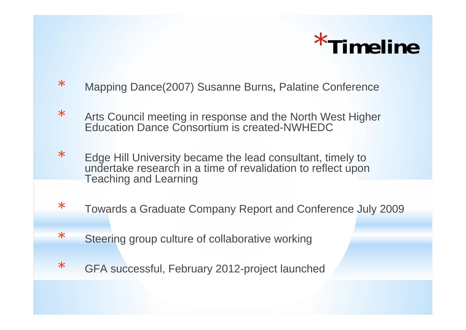

- \*Mapping Dance(2007) Susanne Burns**,** Palatine Conference
- \* Arts Council meeting in response and the North West Higher Education Dance Consortium is created-NWHEDC
- \* Edge Hill University became the lead consultant, timely to undertake research in a time of revalidation to reflect upon Teaching and Learning
- \*Towards a Graduate Company Report and Conference July 2009
- \*Steering group culture of collaborative working
- \*GFA successful, February 2012-project launched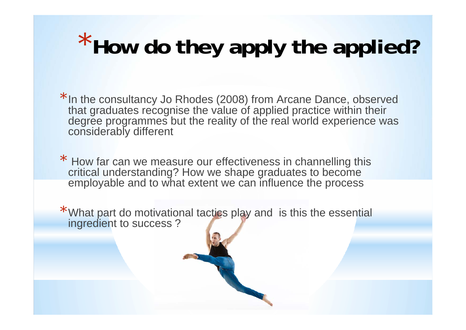# \***How do they apply the applied?**

- \*In the consultancy Jo Rhodes (2008) from Arcane Dance, observed that graduates recognise the value of applied practice within their degree programmes but the reality of the real world experience was considerably different
- \* How far can we measure our effectiveness in channelling this critical understanding? How we shape graduates to become employable and to what extent we can influence the process
- \* What part do motivational tacties play and is this the essential ingredient to success ?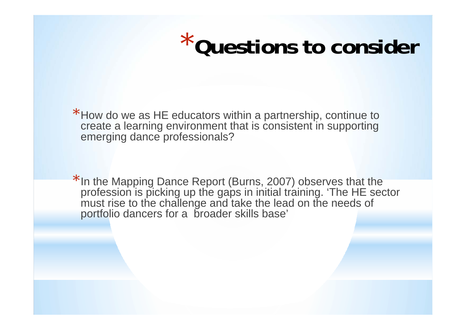## \***Questions to consider**

\* How do we as HE educators within a partnership, continue to create a learning environment that is consistent in supporting emerging dance professionals?

\*In the Mapping Dance Report (Burns, 2007) observes that the profession is picking up the gaps in initial training. 'The HE sector must rise to the challenge and take the lead on the needs of portfolio dancers for a broader skills base'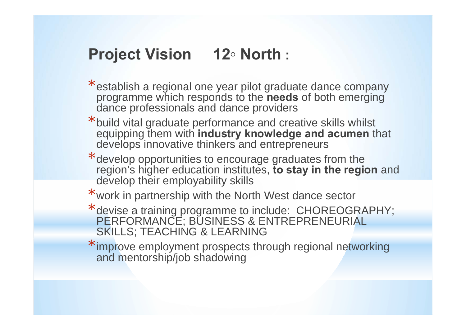## **Project Vision 12 ◦ North :**

- \*establish a regional one year pilot graduate dance company programme which responds to the **needs** of both emerging dance professionals and dance providers
- \*build vital graduate performance and creative skills whilst equipping them with **industry knowledge and acumen** that develops innovative thinkers and entrepreneurs
- \*develop opportunities to encourage graduates from the region's higher education institutes, **to stay in the region** and develop their employability skills
- \*work in partnership with the North West dance sector
- \* devise a training programme to include: CHOREOGRAPHY; PERFORMANCE; BUSINESS & ENTREPRENEURIAL SKILLS; TEACHING & LEARNING
- \*improve employment prospects through regional networking and mentorship/job shadowing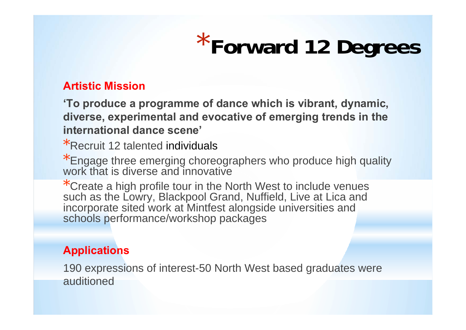# \***Forward 12 Degrees**

#### **Artistic Mission**

**'To produce a programme of dance which is vibrant, dynamic, diverse, experimental and evocative of emerging trends in the international dance scene'**

\*Recruit 12 talented individuals

\*Engage three emerging choreographers who produce high quality work that is diverse and innovative

\*Create a high profile tour in the North West to include venues such as the Lowry, Blackpool Grand, Nuffield, Live at Lica and incorporate sited work at Mintfest alongside universities and schools performance/workshop packages

#### **Applications**

190 expressions of interest-50 North West based graduates were auditioned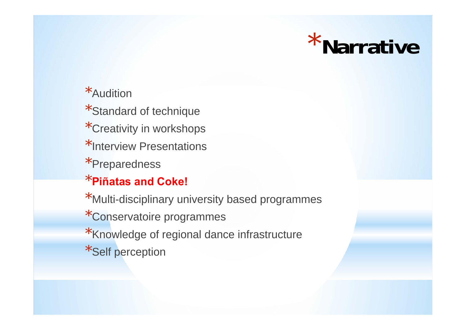## \***Narrative**

### \*Audition

- \*Standard of technique
- \*Creativity in workshops
- \*Interview Presentations
- \*Preparedness

### \***Piñatas and Coke!**

\*Multi-disciplinary university based programmes

\*Conservatoire programmes

\*Knowledge of regional dance infrastructure

\*Self perception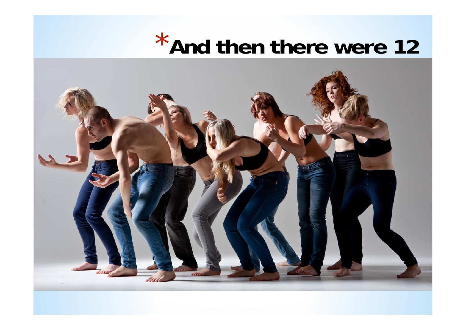# \***And then there were 12**

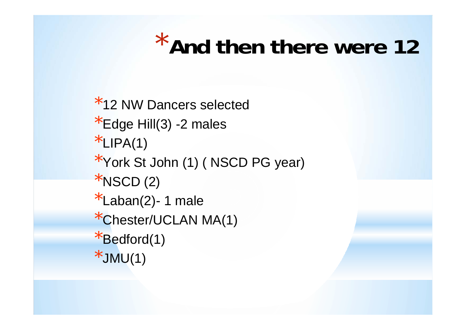## \***And then there were 12**

\*12 NW Dancers selected\*Edge Hill $(3)$  -2 males  $*LIPA(1)$ \*York St John (1) ( NSCD PG year)  $*$ NSCD $(2)$  $*$ Laban(2)- 1 male \*Chester/UCLAN MA(1) \*Bedford(1)  $*JMU(1)$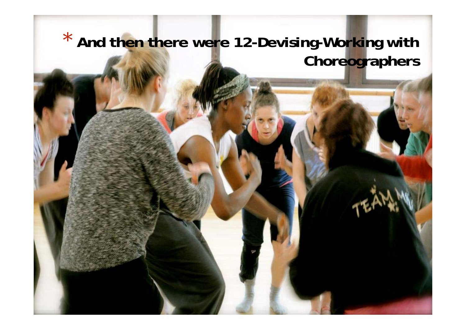## \* **And then there were 12-Devising-Working with Choreographers**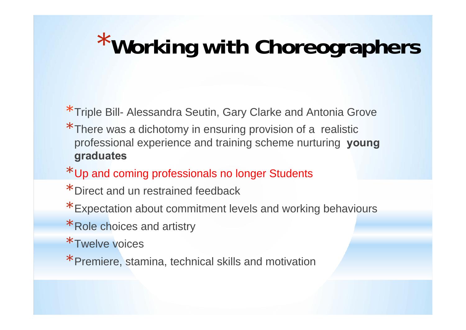# \***Working with Choreographers**

- \*Triple Bill- Alessandra Seutin, Gary Clarke and Antonia Grove
- \*There was a dichotomy in ensuring provision of a realistic professional experience and training scheme nurturing **young graduates**
- \*Up and coming professionals no longer Students
- \*Direct and un restrained feedback
- \*Expectation about commitment levels and working behaviours
- \*Role choices and artistry
- \*Twelve voices
- \*Premiere, stamina, technical skills and motivation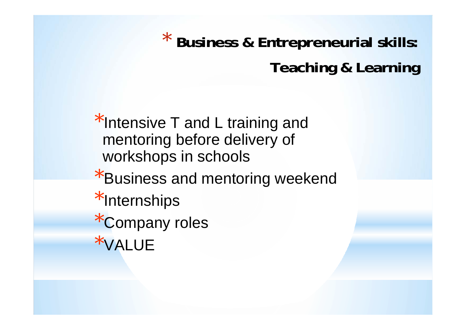\* **Business & Entrepreneurial skills: Teaching & Learning**

\*Intensive T and L training and mentoring before delivery of workshops in schools \*Business and mentoring weekend \*Internships \*Company roles

\*VALUE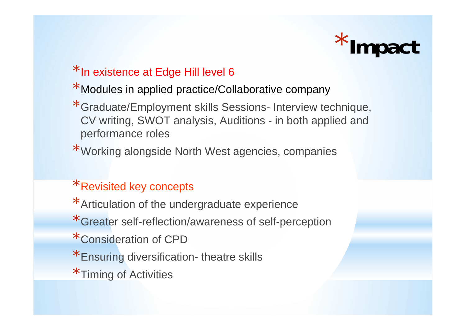

### \*In existence at Edge Hill level 6

### \*Modules in applied practice/Collaborative company

- \*Graduate/Employment skills Sessions- Interview technique, CV writing, SWOT analysis, Auditions - in both applied and performance roles
- \*Working alongside North West agencies, companies

### \*Revisited key concepts

- \*Articulation of the undergraduate experience
- \*Greater self-reflection/awareness of self-perception
- \*Consideration of CPD
- \*Ensuring diversification- theatre skills
- \*Timing of Activities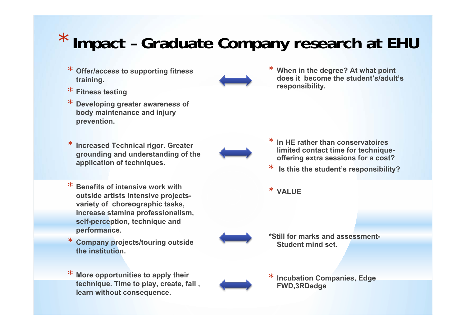## \* **Impact – Graduate Company research at EHU**

- \* **Offer/access to supporting fitness training.**
- \***Fitness testing**
- \* **Developing greater awareness of body maintenance and injury prevention.**
- \* **Increased Technical rigor. Greater grounding and understanding of the application of techniques.**
- \* **Benefits of intensive work with outside artists intensive projectsvariety of choreographic tasks, increase stamina professionalism, self-perception, technique and performance.**
- \* **Company projects/touring outside the institution.**
- \* **More opportunities to apply their technique. Time to play, create, fail , learn without consequence.**



\*

 **When in the degree? At what point does it become the student's/adult's responsibility.**



- \* **In HE rather than conservatoires limited contact time for techniqueoffering extra sessions for a cost?**
- \***Is this the student's responsibility?**
- \* **VALUE**

\*



**\*Still for marks and assessment-Student mind set.**



 **Incubation Companies, Edge FWD,3RDedge**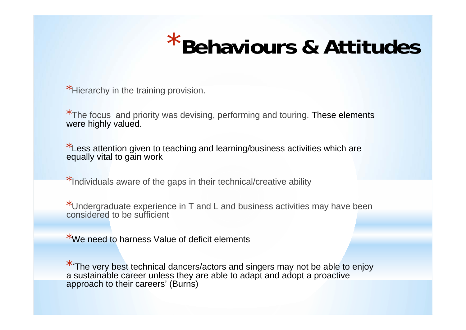## \***Behaviours & Attitudes**

\*Hierarchy in the training provision.

\*The focus and priority was devising, performing and touring. These elements were highly valued.

\*Less attention given to teaching and learning/business activities which are equally vital to gain work

\*Individuals aware of the gaps in their technical/creative ability

\*Undergraduate experience in T and L and business activities may have been considered to be sufficient

\*We need to harness Value of deficit elements

\**'*The very best technical dancers/actors and singers may not be able to enjoy a sustainable career unless they are able to adapt and adopt a proactive approach to their careers' (Burns)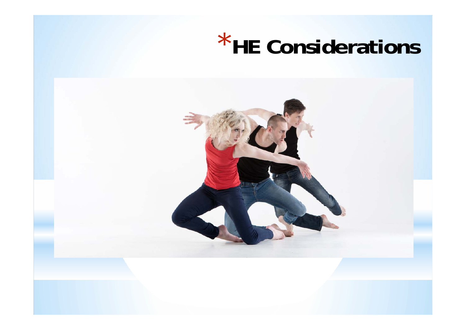# \***HE Considerations**

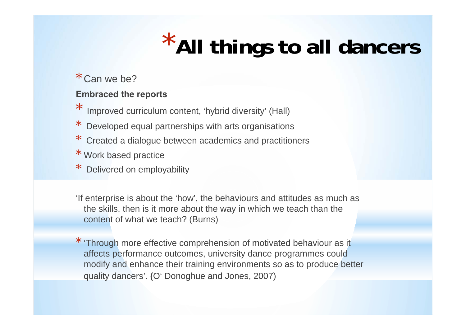## \***All things to all dancers**

\* Can we be?

#### **Embraced the reports**

- \*Improved curriculum content, 'hybrid diversity' (Hall)
- \*Developed equal partnerships with arts organisations
- \* Created a dialogue between academics and practitioners
- \* Work based practice
- \*Delivered on employability

'If enterprise is about the 'how', the behaviours and attitudes as much as the skills, then is it more about the way in which we teach than the content of what we teach? (Burns)

\* 'Through more effective comprehension of motivated behaviour as it affects performance outcomes, university dance programmes could modify and enhance their training environments so as to produce better quality dancers'. **(**O' Donoghue and Jones, 2007)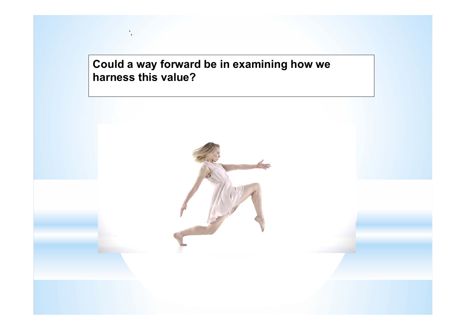**Could a way forward be in examining how we harness this value?**

',

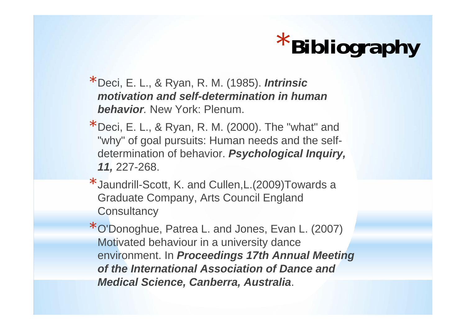# \***Bibliography**

- \*Deci, E. L., & Ryan, R. M. (1985). *Intrinsic motivation and self-determination in human behavior.* New York: Plenum.
- \*Deci, E. L., & Ryan, R. M. (2000). The "what" and "why" of goal pursuits: Human needs and the selfdetermination of behavior. *Psychological Inquiry, 11,* 227-268.
- \*Jaundrill-Scott, K. and Cullen,L.(2009)Towards a Graduate Company, Arts Council England **Consultancy**
- \*O'Donoghue, Patrea L. and Jones, Evan L. (2007) Motivated behaviour in a university dance environment. In *Proceedings 17th Annual Meeting of the International Association of Dance and Medical Science, Canberra, Australia*.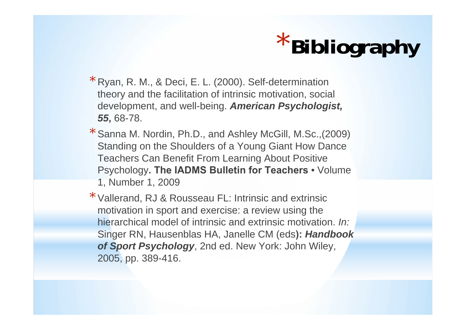# \***Bibliography**

- \* Ryan, R. M., & Deci, E. L. (2000). Self-determination theory and the facilitation of intrinsic motivation, social development, and well-being. *American Psychologist, 55***,** 68-78.
- \* Sanna M. Nordin, Ph.D., and Ashley McGill, M.Sc.,(2009) Standing on the Shoulders of a Young Giant How Dance Teachers Can Benefit From Learning About Positive Psychology**. The IADMS Bulletin for Teachers** • Volume 1, Number 1, 2009
- \* Vallerand, RJ & Rousseau FL: Intrinsic and extrinsic motivation in sport and exercise: a review using the hierarchical model of intrinsic and extrinsic motivation. *In:* Singer RN, Hausenblas HA, Janelle CM (eds**):** *Handbook of Sport Psychology*, 2nd ed. New York: John Wiley, 2005, pp. 389-416.